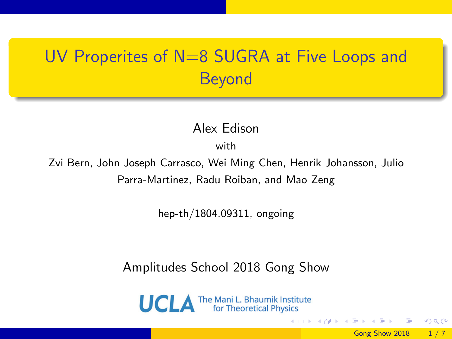### UV Properites of N=8 SUGRA at Five Loops and Beyond

Alex Edison

with

Zvi Bern, John Joseph Carrasco, Wei Ming Chen, Henrik Johansson, Julio Parra-Martinez, Radu Roiban, and Mao Zeng

hep-th/1804.09311, ongoing

Amplitudes School 2018 Gong Show

**UCLA** The Mani L. Bhaumik Institute

Gong Show 2018 1 / 7

 $\Omega$ 

イロト イ押ト イヨト イヨト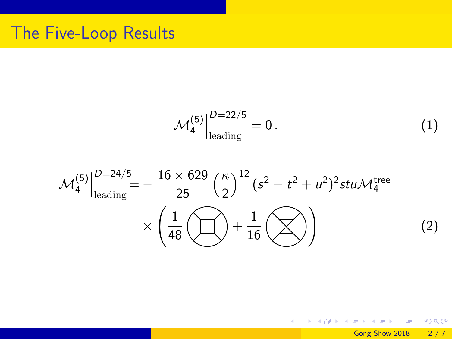$$
\mathcal{M}_4^{(5)}\Big|_{\text{leading}}^{D=22/5} = 0. \tag{1}
$$

$$
\mathcal{M}_{4}^{(5)}\Big|_{\text{leading}}^{D=24/5} = -\frac{16 \times 629}{25} \left(\frac{\kappa}{2}\right)^{12} (s^2 + t^2 + u^2)^2 stu \mathcal{M}_{4}^{\text{tree}} \times \left(\frac{1}{48} \bigoplus + \frac{1}{16} \bigotimes\right)
$$
 (2)

K ロ > K d > K 경 > K 경 > X 경

 $990$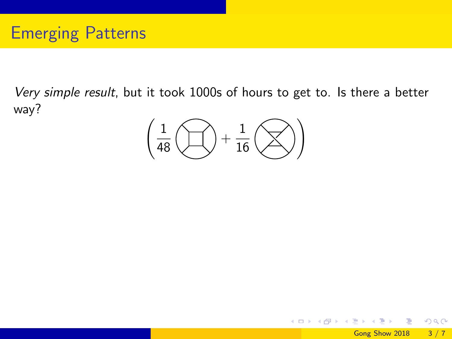Very simple result, but it took 1000s of hours to get to. Is there a better way?

$$
\left(\frac{1}{48}\left(\bigcup\limits_{1\atop{10}\right)+\frac{1}{16}\left(\bigtimes\right)\right)
$$

 $298$ 

メロト メ押 トメミト メミ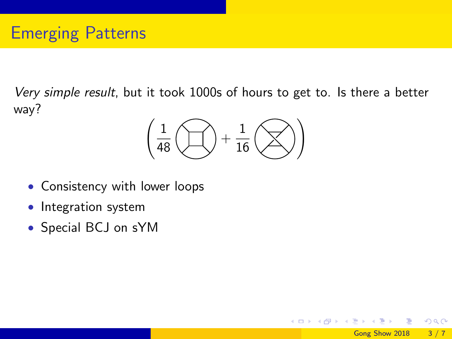Very simple result, but it took 1000s of hours to get to. Is there a better way?

$$
\left(\frac{1}{48}\left(\bigcup\limits_{1\atop{10}\right)+\frac{1}{16}\left(\bigtimes\right)\right)
$$

Gong Show 2018 3 / 7

 $200$ 

**K ロ ト K 伺 ト K ミ ト** 

- Consistency with lower loops
- Integration system
- Special BCJ on sYM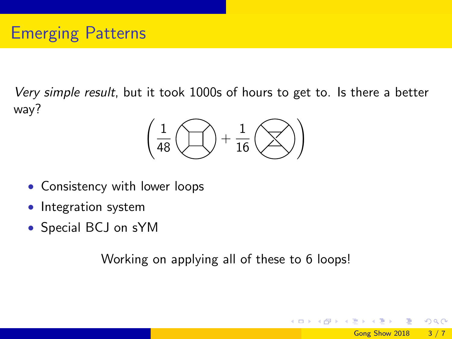Very simple result, but it took 1000s of hours to get to. Is there a better way?

$$
\left(\frac{1}{48}\left(\bigcup\limits_{1\atop{10}\right)+\frac{1}{16}\left(\bigtimes\right)\right)
$$

- Consistency with lower loops
- Integration system
- Special BCJ on sYM

Working on applying all of these to 6 loops!

 $\Omega$ 

イロト イ母 トイヨ トイヨト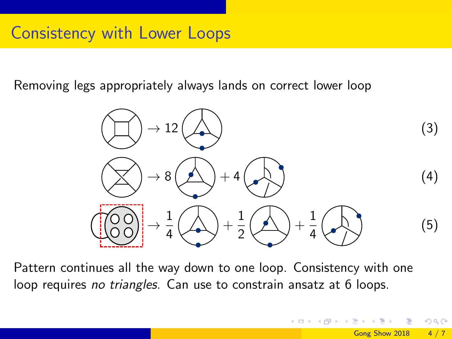Removing legs appropriately always lands on correct lower loop



Pattern continues all the way down to one loop. Consistency with one loop requires no triangles. Can use to constrain ansatz at 6 loops.

 $\Omega$ 

**K ロ ト K 何 ト K ヨ ト K**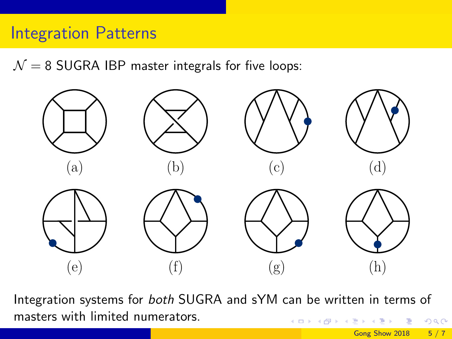$\mathcal{N} = 8$  SUGRA IBP master integrals for five loops:



Integration systems for both SUGRA and sYM can be written in terms of masters with limited numerators.  $QQ$  $4$  ロ }  $4$   $4$   $9$  }  $4$   $\equiv$  }  $-4$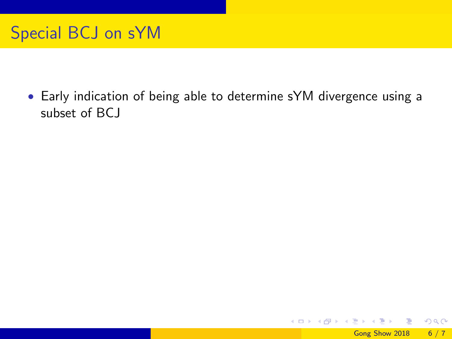#### Special BCJ on sYM

• Early indication of being able to determine sYM divergence using a subset of BCJ

 $\Omega$ 

K ロ ⊁ K 個 ≯ K 君 ⊁ K 君 ≯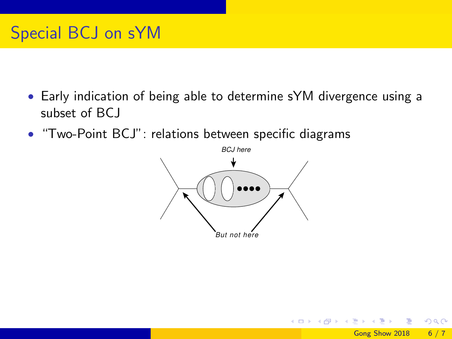### Special BCJ on sYM

- Early indication of being able to determine sYM divergence using a subset of BCJ
- "Two-Point BCJ": relations between specific diagrams



 $200$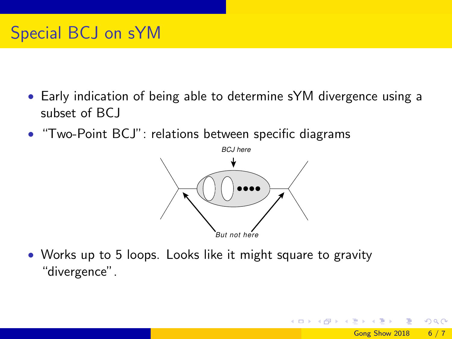### Special BCJ on sYM

- Early indication of being able to determine sYM divergence using a subset of BCJ
- "Two-Point BCJ": relations between specific diagrams



• Works up to 5 loops. Looks like it might square to gravity "divergence".

∢ □ ▶ .⊀ 何 ▶ .∢ ∃ ▶ .∢

 $\Omega$